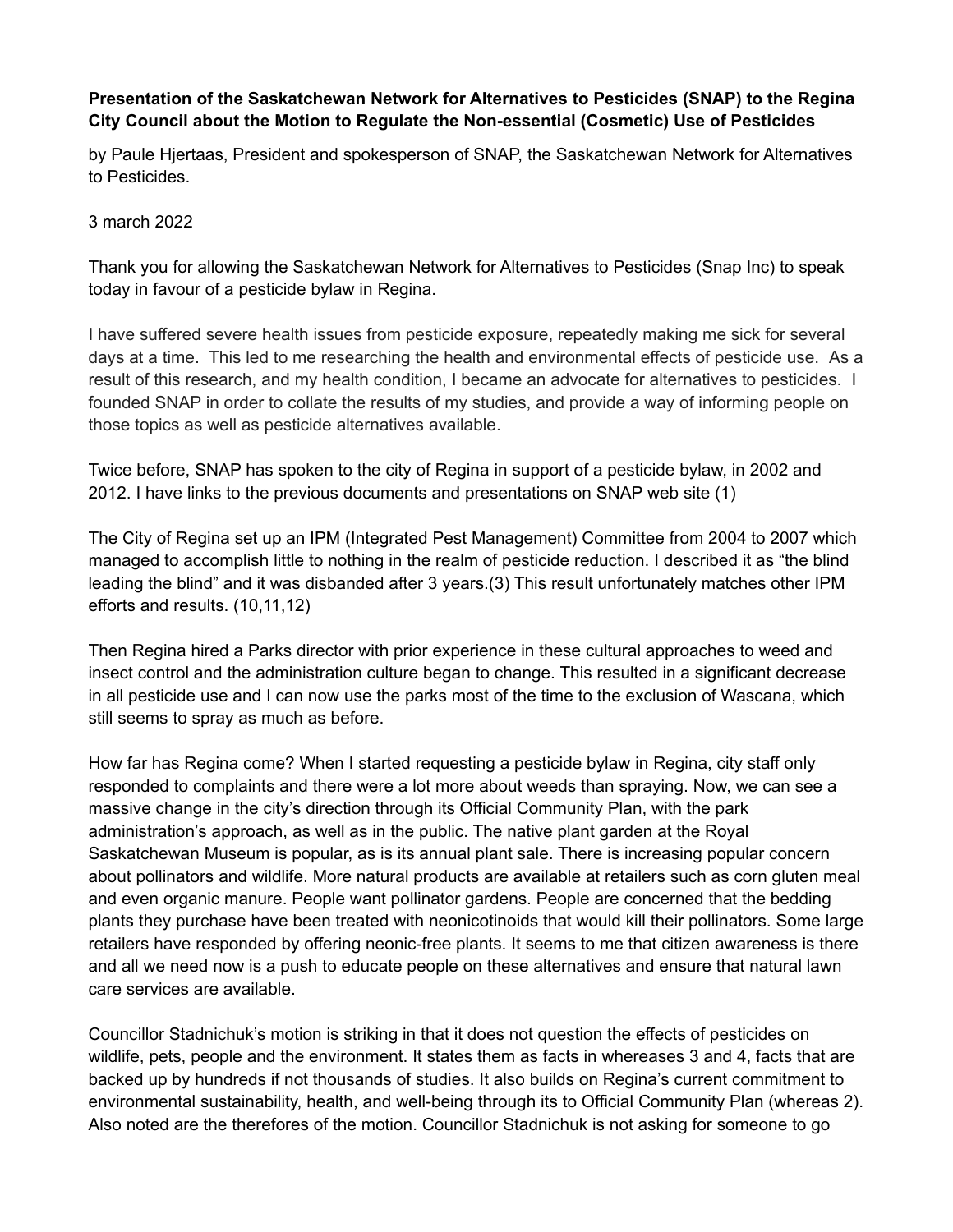## **Presentation of the Saskatchewan Network for Alternatives to Pesticides (SNAP) to the Regina City Council about the Motion to Regulate the Non-essential (Cosmetic) Use of Pesticides**

by Paule Hjertaas, President and spokesperson of SNAP, the Saskatchewan Network for Alternatives to Pesticides.

3 march 2022

Thank you for allowing the Saskatchewan Network for Alternatives to Pesticides (Snap Inc) to speak today in favour of a pesticide bylaw in Regina.

I have suffered severe health issues from pesticide exposure, repeatedly making me sick for several days at a time. This led to me researching the health and environmental effects of pesticide use. As a result of this research, and my health condition, I became an advocate for alternatives to pesticides. I founded SNAP in order to collate the results of my studies, and provide a way of informing people on those topics as well as pesticide alternatives available.

Twice before, SNAP has spoken to the city of Regina in support of a pesticide bylaw, in 2002 and 2012. I have links to the previous documents and presentations on SNAP web site (1)

The City of Regina set up an IPM (Integrated Pest Management) Committee from 2004 to 2007 which managed to accomplish little to nothing in the realm of pesticide reduction. I described it as "the blind leading the blind" and it was disbanded after 3 years.(3) This result unfortunately matches other IPM efforts and results. (10,11,12)

Then Regina hired a Parks director with prior experience in these cultural approaches to weed and insect control and the administration culture began to change. This resulted in a significant decrease in all pesticide use and I can now use the parks most of the time to the exclusion of Wascana, which still seems to spray as much as before.

How far has Regina come? When I started requesting a pesticide bylaw in Regina, city staff only responded to complaints and there were a lot more about weeds than spraying. Now, we can see a massive change in the city's direction through its Official Community Plan, with the park administration's approach, as well as in the public. The native plant garden at the Royal Saskatchewan Museum is popular, as is its annual plant sale. There is increasing popular concern about pollinators and wildlife. More natural products are available at retailers such as corn gluten meal and even organic manure. People want pollinator gardens. People are concerned that the bedding plants they purchase have been treated with neonicotinoids that would kill their pollinators. Some large retailers have responded by offering neonic-free plants. It seems to me that citizen awareness is there and all we need now is a push to educate people on these alternatives and ensure that natural lawn care services are available.

Councillor Stadnichuk's motion is striking in that it does not question the effects of pesticides on wildlife, pets, people and the environment. It states them as facts in whereases 3 and 4, facts that are backed up by hundreds if not thousands of studies. It also builds on Regina's current commitment to environmental sustainability, health, and well-being through its to Official Community Plan (whereas 2). Also noted are the therefores of the motion. Councillor Stadnichuk is not asking for someone to go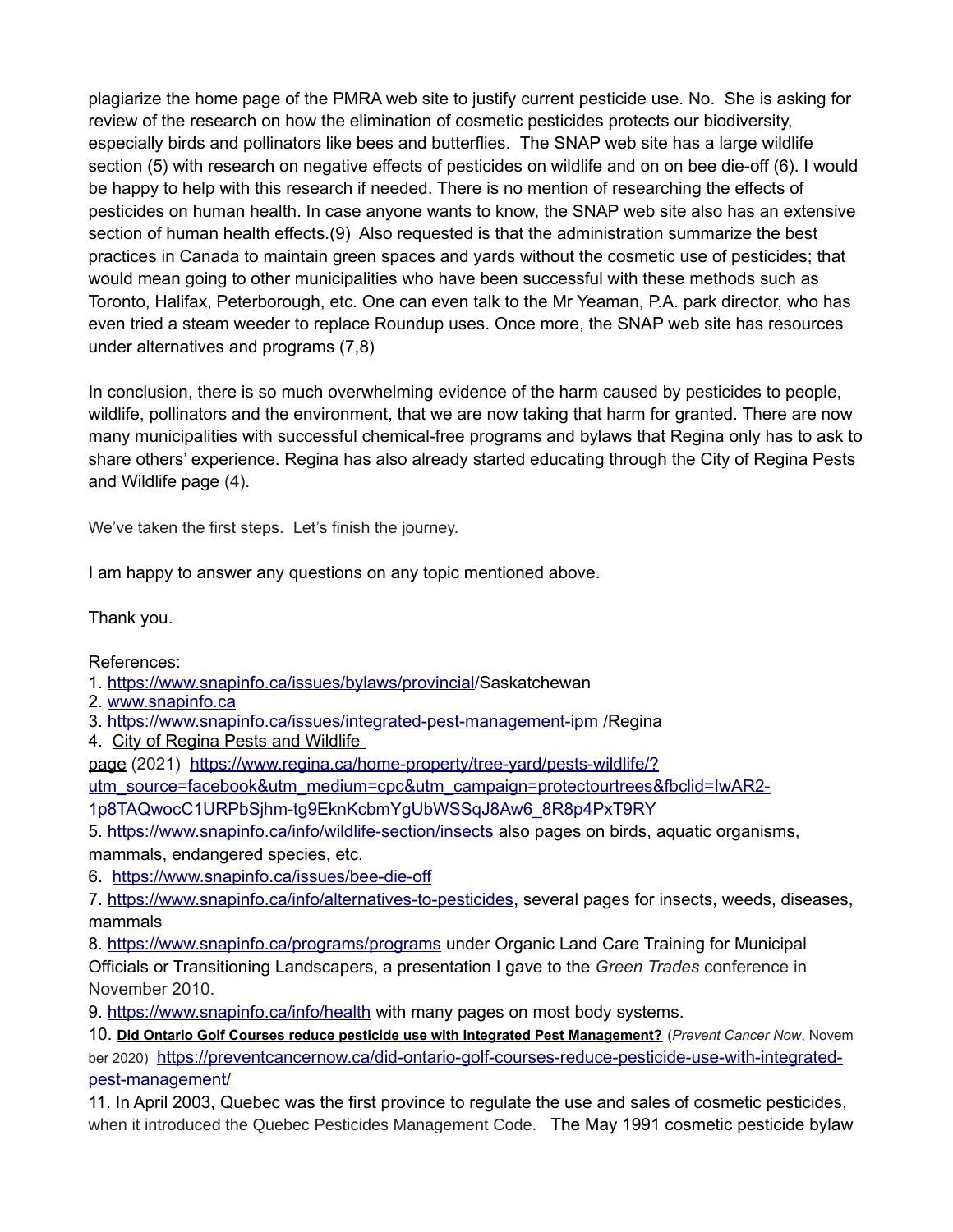plagiarize the home page of the PMRA web site to justify current pesticide use. No. She is asking for review of the research on how the elimination of cosmetic pesticides protects our biodiversity, especially birds and pollinators like bees and butterflies. The SNAP web site has a large wildlife section (5) with research on negative effects of pesticides on wildlife and on on bee die-off (6). I would be happy to help with this research if needed. There is no mention of researching the effects of pesticides on human health. In case anyone wants to know, the SNAP web site also has an extensive section of human health effects.(9) Also requested is that the administration summarize the best practices in Canada to maintain green spaces and yards without the cosmetic use of pesticides; that would mean going to other municipalities who have been successful with these methods such as Toronto, Halifax, Peterborough, etc. One can even talk to the Mr Yeaman, P.A. park director, who has even tried a steam weeder to replace Roundup uses. Once more, the SNAP web site has resources under alternatives and programs (7,8)

In conclusion, there is so much overwhelming evidence of the harm caused by pesticides to people, wildlife, pollinators and the environment, that we are now taking that harm for granted. There are now many municipalities with successful chemical-free programs and bylaws that Regina only has to ask to share others' experience. Regina has also already started educating through the [City of Regina Pests](https://www.regina.ca/home-property/tree-yard/pests-wildlife/?utm_source=facebook&utm_medium=cpc&utm_campaign=protectourtrees&fbclid=IwAR2-1p8TAQwocC1URPbSjhm-tg9EknKcbmYgUbWSSqJ8Aw6_8R8p4PxT9RY)  [and Wildlife page](https://www.regina.ca/home-property/tree-yard/pests-wildlife/?utm_source=facebook&utm_medium=cpc&utm_campaign=protectourtrees&fbclid=IwAR2-1p8TAQwocC1URPbSjhm-tg9EknKcbmYgUbWSSqJ8Aw6_8R8p4PxT9RY) (4).

We've taken the first steps. Let's finish the journey.

I am happy to answer any questions on any topic mentioned above.

Thank you.

## References:

1. [https://www.snapinfo.ca/issues/bylaws/provincial/](https://www.snapinfo.ca/issues/bylaws/provincial)Saskatchewan

- 2. [www.snapinfo.ca](http://www.snapinfo.ca/)
- 3.<https://www.snapinfo.ca/issues/integrated-pest-management-ipm>/Regina
- 4. City of Regina Pests and Wildlife

[page](https://www.regina.ca/home-property/tree-yard/pests-wildlife/?utm_source=facebook&utm_medium=cpc&utm_campaign=protectourtrees&fbclid=IwAR2-1p8TAQwocC1URPbSjhm-tg9EknKcbmYgUbWSSqJ8Aw6_8R8p4PxT9RY) (2021) [https://www.regina.ca/home-property/tree-yard/pests-wildlife/?](https://www.regina.ca/home-property/tree-yard/pests-wildlife/?utm_source=facebook&utm_medium=cpc&utm_campaign=protectourtrees&fbclid=IwAR2-1p8TAQwocC1URPbSjhm-tg9EknKcbmYgUbWSSqJ8Aw6_8R8p4PxT9RY)

[utm\\_source=facebook&utm\\_medium=cpc&utm\\_campaign=protectourtrees&fbclid=IwAR2-](https://www.regina.ca/home-property/tree-yard/pests-wildlife/?utm_source=facebook&utm_medium=cpc&utm_campaign=protectourtrees&fbclid=IwAR2-1p8TAQwocC1URPbSjhm-tg9EknKcbmYgUbWSSqJ8Aw6_8R8p4PxT9RY)

[1p8TAQwocC1URPbSjhm-tg9EknKcbmYgUbWSSqJ8Aw6\\_8R8p4PxT9RY](https://www.regina.ca/home-property/tree-yard/pests-wildlife/?utm_source=facebook&utm_medium=cpc&utm_campaign=protectourtrees&fbclid=IwAR2-1p8TAQwocC1URPbSjhm-tg9EknKcbmYgUbWSSqJ8Aw6_8R8p4PxT9RY)

5.<https://www.snapinfo.ca/info/wildlife-section/insects>also pages on birds, aquatic organisms, mammals, endangered species, etc.

6. <https://www.snapinfo.ca/issues/bee-die-off>

7. [https://www.snapinfo.ca/info/alternatives-to-pesticides,](https://www.snapinfo.ca/info/alternatives-to-pesticides) several pages for insects, weeds, diseases, mammals

8.<https://www.snapinfo.ca/programs/programs>under Organic Land Care Training for Municipal Officials or Transitioning Landscapers, a presentation I gave to the *Green Trades* conference in November 2010.

9.<https://www.snapinfo.ca/info/health>with many pages on most body systems.

10. **[Did Ontario Golf Courses reduce pesticide use with Integrated Pest Management?](https://preventcancernow.ca/did-ontario-golf-courses-reduce-pesticide-use-with-integrated-pest-management/)** (*Prevent Cancer Now*, Novem ber 2020) [https://preventcancernow.ca/did-ontario-golf-courses-reduce-pesticide-use-with-integrated](https://preventcancernow.ca/did-ontario-golf-courses-reduce-pesticide-use-with-integrated-pest-management/)[pest-management/](https://preventcancernow.ca/did-ontario-golf-courses-reduce-pesticide-use-with-integrated-pest-management/)

11. In April 2003, Quebec was the first province to regulate the use and sales of cosmetic pesticides, when it introduced the Quebec Pesticides Management Code. The May 1991 cosmetic pesticide bylaw